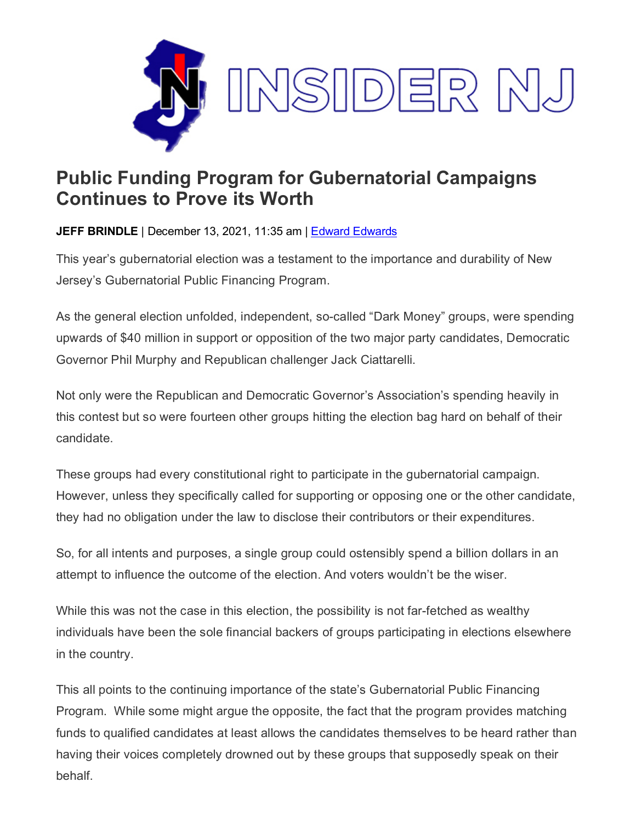

## **Public Funding Program for Gubernatorial Campaigns Continues to Prove its Worth**

**JEFF BRINDLE** | December 13, 2021, 11:35 am | Edward [Edwards](https://www.insidernj.com/category/edward-edwards/)

This year's gubernatorial election was a testament to the importance and durability of New Jersey's Gubernatorial Public Financing Program.

As the general election unfolded, independent, so-called "Dark Money" groups, were spending upwards of \$40 million in support or opposition of the two major party candidates, Democratic Governor Phil Murphy and Republican challenger Jack Ciattarelli.

Not only were the Republican and Democratic Governor's Association's spending heavily in this contest but so were fourteen other groups hitting the election bag hard on behalf of their candidate.

These groups had every constitutional right to participate in the gubernatorial campaign. However, unless they specifically called for supporting or opposing one or the other candidate, they had no obligation under the law to disclose their contributors or their expenditures.

So, for all intents and purposes, a single group could ostensibly spend a billion dollars in an attempt to influence the outcome of the election. And voters wouldn't be the wiser.

While this was not the case in this election, the possibility is not far-fetched as wealthy individuals have been the sole financial backers of groups participating in elections elsewhere in the country.

This all points to the continuing importance of the state's Gubernatorial Public Financing Program. While some might argue the opposite, the fact that the program provides matching funds to qualified candidates at least allows the candidates themselves to be heard rather than having their voices completely drowned out by these groups that supposedly speak on their behalf.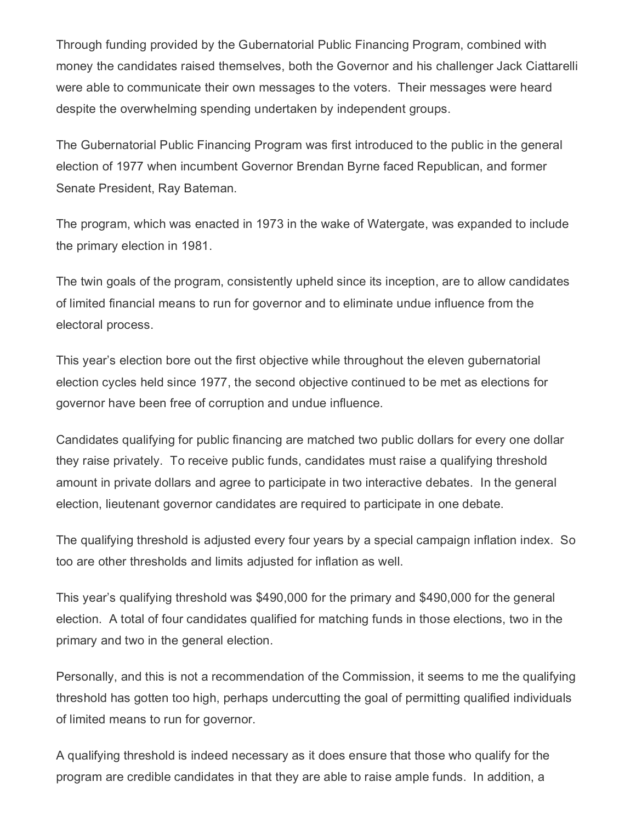Through funding provided by the Gubernatorial Public Financing Program, combined with money the candidates raised themselves, both the Governor and his challenger Jack Ciattarelli were able to communicate their own messages to the voters. Their messages were heard despite the overwhelming spending undertaken by independent groups.

The Gubernatorial Public Financing Program was first introduced to the public in the general election of 1977 when incumbent Governor Brendan Byrne faced Republican, and former Senate President, Ray Bateman.

The program, which was enacted in 1973 in the wake of Watergate, was expanded to include the primary election in 1981.

The twin goals of the program, consistently upheld since its inception, are to allow candidates of limited financial means to run for governor and to eliminate undue influence from the electoral process.

This year's election bore out the first objective while throughout the eleven gubernatorial election cycles held since 1977, the second objective continued to be met as elections for governor have been free of corruption and undue influence.

Candidates qualifying for public financing are matched two public dollars for every one dollar they raise privately. To receive public funds, candidates must raise a qualifying threshold amount in private dollars and agree to participate in two interactive debates. In the general election, lieutenant governor candidates are required to participate in one debate.

The qualifying threshold is adjusted every four years by a special campaign inflation index. So too are other thresholds and limits adjusted for inflation as well.

This year's qualifying threshold was \$490,000 for the primary and \$490,000 for the general election. A total of four candidates qualified for matching funds in those elections, two in the primary and two in the general election.

Personally, and this is not a recommendation of the Commission, it seems to me the qualifying threshold has gotten too high, perhaps undercutting the goal of permitting qualified individuals of limited means to run for governor.

A qualifying threshold is indeed necessary as it does ensure that those who qualify for the program are credible candidates in that they are able to raise ample funds. In addition, a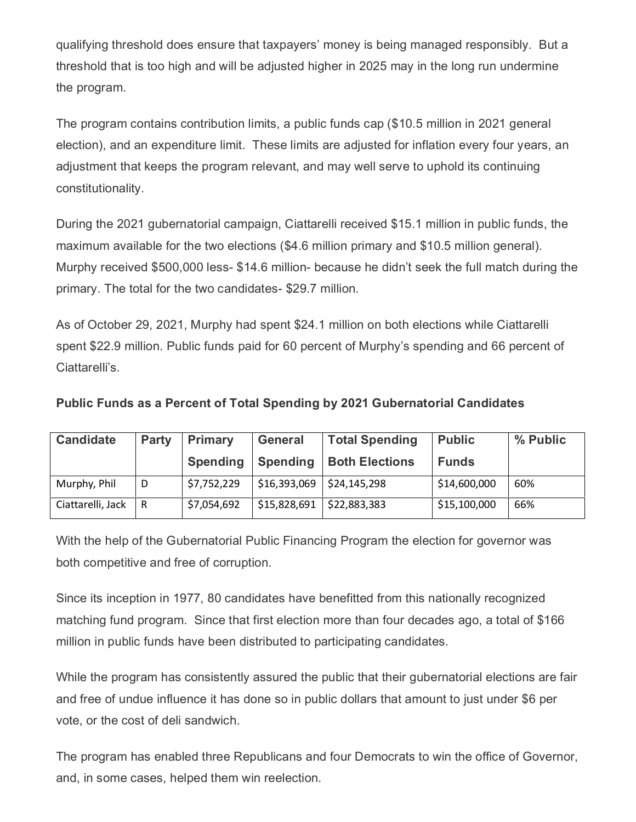qualifying threshold does ensure that taxpayers' money is being managed responsibly. But a threshold that is too high and will be adjusted higher in 2025 may in the long run undermine the program.

The program contains contribution limits, a public funds cap (\$10.5 million in 2021 general election), and an expenditure limit. These limits are adjusted for inflation every four years, an adjustment that keeps the program relevant, and may well serve to uphold its continuing constitutionality.

During the 2021 gubernatorial campaign, Ciattarelli received \$15.1 million in public funds, the maximum available for the two elections (\$4.6 million primary and \$10.5 million general). Murphy received \$500,000 less- \$14.6 million- because he didn't seek the full match during the primary. The total for the two candidates- \$29.7 million.

As of October 29, 2021, Murphy had spent \$24.1 million on both elections while Ciattarelli spent \$22.9 million. Public funds paid for 60 percent of Murphy's spending and 66 percent of Ciattarelli's.

| Public Funds as a Percent of Total Spending by 2021 Gubernatorial Candidates |  |  |
|------------------------------------------------------------------------------|--|--|
|------------------------------------------------------------------------------|--|--|

| <b>Candidate</b>  | <b>Party</b> | <b>Primary</b>  | <b>General</b>  | <b>Total Spending</b> | <b>Public</b> | % Public |
|-------------------|--------------|-----------------|-----------------|-----------------------|---------------|----------|
|                   |              | <b>Spending</b> | <b>Spending</b> | <b>Both Elections</b> | <b>Funds</b>  |          |
| Murphy, Phil      | D            | \$7,752,229     | \$16,393,069    | \$24,145,298          | \$14,600,000  | 60%      |
| Ciattarelli, Jack | l R          | \$7,054,692     | \$15,828,691    | \$22,883,383          | \$15,100,000  | 66%      |

With the help of the Gubernatorial Public Financing Program the election for governor was both competitive and free of corruption.

Since its inception in 1977, 80 candidates have benefitted from this nationally recognized matching fund program. Since that first election more than four decades ago, a total of \$166 million in public funds have been distributed to participating candidates.

While the program has consistently assured the public that their gubernatorial elections are fair and free of undue influence it has done so in public dollars that amount to just under \$6 per vote, or the cost of deli sandwich.

The program has enabled three Republicans and four Democrats to win the office of Governor, and, in some cases, helped them win reelection.